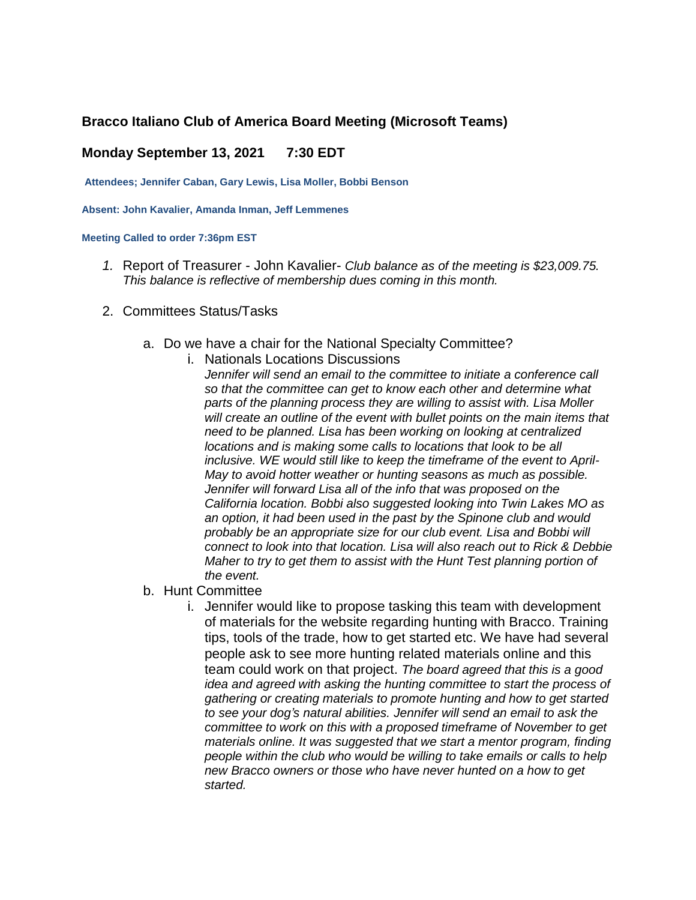## **Bracco Italiano Club of America Board Meeting (Microsoft Teams)**

## **Monday September 13, 2021 7:30 EDT**

**Attendees; Jennifer Caban, Gary Lewis, Lisa Moller, Bobbi Benson**

**Absent: John Kavalier, Amanda Inman, Jeff Lemmenes**

**Meeting Called to order 7:36pm EST**

- *1.* Report of Treasurer John Kavalier- *Club balance as of the meeting is \$23,009.75. This balance is reflective of membership dues coming in this month.*
- 2. Committees Status/Tasks
	- a. Do we have a chair for the National Specialty Committee?
		- i. Nationals Locations Discussions

*Jennifer will send an email to the committee to initiate a conference call so that the committee can get to know each other and determine what parts of the planning process they are willing to assist with. Lisa Moller will create an outline of the event with bullet points on the main items that need to be planned. Lisa has been working on looking at centralized locations and is making some calls to locations that look to be all inclusive. WE would still like to keep the timeframe of the event to April-May to avoid hotter weather or hunting seasons as much as possible. Jennifer will forward Lisa all of the info that was proposed on the California location. Bobbi also suggested looking into Twin Lakes MO as an option, it had been used in the past by the Spinone club and would probably be an appropriate size for our club event. Lisa and Bobbi will connect to look into that location. Lisa will also reach out to Rick & Debbie Maher to try to get them to assist with the Hunt Test planning portion of the event.*

- b. Hunt Committee
	- i. Jennifer would like to propose tasking this team with development of materials for the website regarding hunting with Bracco. Training tips, tools of the trade, how to get started etc. We have had several people ask to see more hunting related materials online and this team could work on that project. *The board agreed that this is a good idea and agreed with asking the hunting committee to start the process of gathering or creating materials to promote hunting and how to get started to see your dog's natural abilities. Jennifer will send an email to ask the committee to work on this with a proposed timeframe of November to get materials online. It was suggested that we start a mentor program, finding people within the club who would be willing to take emails or calls to help new Bracco owners or those who have never hunted on a how to get started.*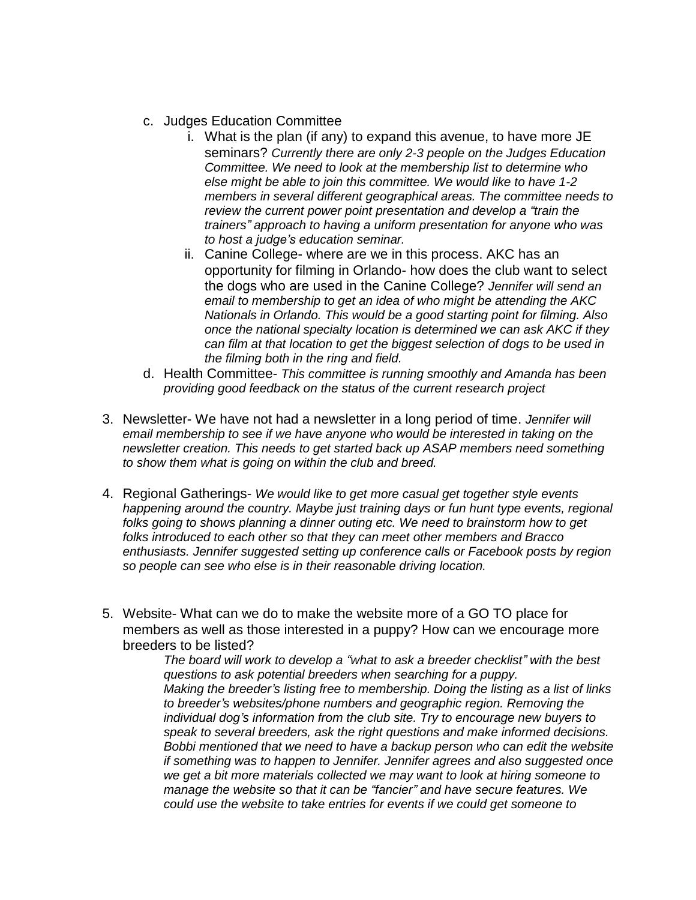- c. Judges Education Committee
	- i. What is the plan (if any) to expand this avenue, to have more JE seminars? *Currently there are only 2-3 people on the Judges Education Committee. We need to look at the membership list to determine who else might be able to join this committee. We would like to have 1-2 members in several different geographical areas. The committee needs to review the current power point presentation and develop a "train the trainers" approach to having a uniform presentation for anyone who was to host a judge's education seminar.*
	- ii. Canine College- where are we in this process. AKC has an opportunity for filming in Orlando- how does the club want to select the dogs who are used in the Canine College? *Jennifer will send an email to membership to get an idea of who might be attending the AKC Nationals in Orlando. This would be a good starting point for filming. Also once the national specialty location is determined we can ask AKC if they can film at that location to get the biggest selection of dogs to be used in the filming both in the ring and field.*
- d. Health Committee- *This committee is running smoothly and Amanda has been providing good feedback on the status of the current research project*
- 3. Newsletter- We have not had a newsletter in a long period of time. *Jennifer will email membership to see if we have anyone who would be interested in taking on the newsletter creation. This needs to get started back up ASAP members need something to show them what is going on within the club and breed.*
- 4. Regional Gatherings- *We would like to get more casual get together style events happening around the country. Maybe just training days or fun hunt type events, regional folks going to shows planning a dinner outing etc. We need to brainstorm how to get folks introduced to each other so that they can meet other members and Bracco enthusiasts. Jennifer suggested setting up conference calls or Facebook posts by region so people can see who else is in their reasonable driving location.*
- 5. Website- What can we do to make the website more of a GO TO place for members as well as those interested in a puppy? How can we encourage more breeders to be listed?

*The board will work to develop a "what to ask a breeder checklist" with the best questions to ask potential breeders when searching for a puppy. Making the breeder's listing free to membership. Doing the listing as a list of links to breeder's websites/phone numbers and geographic region. Removing the individual dog's information from the club site. Try to encourage new buyers to speak to several breeders, ask the right questions and make informed decisions. Bobbi mentioned that we need to have a backup person who can edit the website if something was to happen to Jennifer. Jennifer agrees and also suggested once we get a bit more materials collected we may want to look at hiring someone to manage the website so that it can be "fancier" and have secure features. We could use the website to take entries for events if we could get someone to*